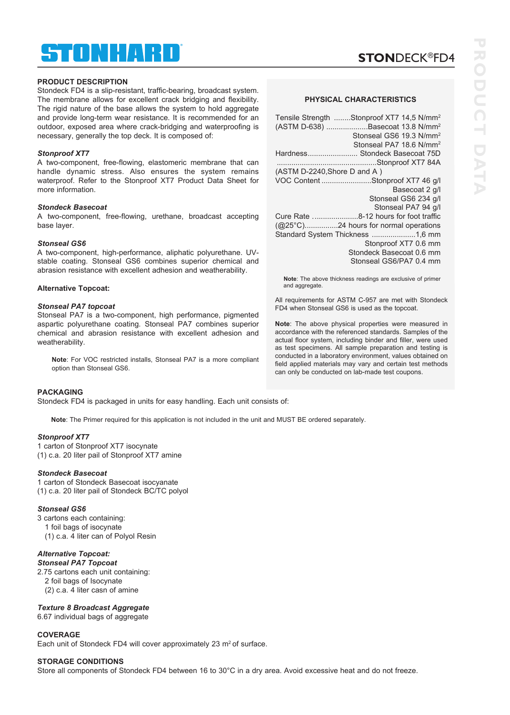## ® STONHARD

## **PRODUCT DESCRIPTION**

Stondeck FD4 is a slip-resistant, traffic-bearing, broadcast system. The membrane allows for excellent crack bridging and flexibility. The rigid nature of the base allows the system to hold aggregate and provide long-term wear resistance. It is recommended for an outdoor, exposed area where crack-bridging and waterproofing is necessary, generally the top deck. It is composed of:

## *Stonproof XT7*

A two-component, free-flowing, elastomeric membrane that can handle dynamic stress. Also ensures the system remains waterproof. Refer to the Stonproof XT7 Product Data Sheet for more information.

## *Stondeck Basecoat*

A two-component, free-flowing, urethane, broadcast accepting base layer.

## *Stonseal GS6*

A two-component, high-performance, aliphatic polyurethane. UVstable coating. Stonseal GS6 combines superior chemical and abrasion resistance with excellent adhesion and weatherability.

## **Alternative Topcoat:**

## *Stonseal PA7 topcoat*

Stonseal PA7 is a two-component, high performance, pigmented aspartic polyurethane coating. Stonseal PA7 combines superior chemical and abrasion resistance with excellent adhesion and weatherability.

**Note**: For VOC restricted installs, Stonseal PA7 is a more compliant option than Stonseal GS6.

## **PACKAGING**

Stondeck FD4 is packaged in units for easy handling. Each unit consists of:

**Note**: The Primer required for this application is not included in the unit and MUST BE ordered separately.

## *Stonproof XT7*

1 carton of Stonproof XT7 isocynate (1) c.a. 20 liter pail of Stonproof XT7 amine

## *Stondeck Basecoat*

1 carton of Stondeck Basecoat isocyanate (1) c.a. 20 liter pail of Stondeck BC/TC polyol

## *Stonseal GS6*

3 cartons each containing: 1 foil bags of isocynate (1) c.a. 4 liter can of Polyol Resin

## *Alternative Topcoat:*

*Stonseal PA7 Topcoat*  2.75 cartons each unit containing: 2 foil bags of Isocynate (2) c.a. 4 liter casn of amine

## *Texture 8 Broadcast Aggregate*

6.67 individual bags of aggregate

## **COVERAGE**

Each unit of Stondeck FD4 will cover approximately 23  $m<sup>2</sup>$  of surface.

## **STORAGE CONDITIONS**

Store all components of Stondeck FD4 between 16 to 30°C in a dry area. Avoid excessive heat and do not freeze.

# **PHYSICAL CHARACTERISTICS**

**STON**DECK®FD4

| Tensile Strength Stonproof XT7 14,5 N/mm <sup>2</sup><br>(ASTM D-638) Basecoat 13.8 N/mm <sup>2</sup><br>Stonseal GS6 19.3 N/mm <sup>2</sup><br>Stonseal PA7 18.6 N/mm <sup>2</sup> |
|-------------------------------------------------------------------------------------------------------------------------------------------------------------------------------------|
| Hardness Stondeck Basecoat 75D                                                                                                                                                      |
|                                                                                                                                                                                     |
| (ASTM D-2240, Shore D and A)                                                                                                                                                        |
| VOC Content Stonproof XT7 46 g/l                                                                                                                                                    |
| Basecoat 2 g/l                                                                                                                                                                      |
| Stonseal GS6 234 g/l                                                                                                                                                                |
| Stonseal PA7 94 g/l                                                                                                                                                                 |
|                                                                                                                                                                                     |
| (@25°C)24 hours for normal operations                                                                                                                                               |
| Standard System Thickness 1,6 mm                                                                                                                                                    |
| Stonproof XT7 0.6 mm                                                                                                                                                                |
| Stondeck Basecoat 0.6 mm                                                                                                                                                            |
| Stonseal GS6/PA7 0.4 mm                                                                                                                                                             |

**Note**: The above thickness readings are exclusive of primer and aggregate.

All requirements for ASTM C-957 are met with Stondeck FD4 when Stonseal GS6 is used as the topcoat.

**Note**: The above physical properties were measured in accordance with the referenced standards. Samples of the actual floor system, including binder and filler, were used as test specimens. All sample preparation and testing is conducted in a laboratory environment, values obtained on field applied materials may vary and certain test methods can only be conducted on lab-made test coupons.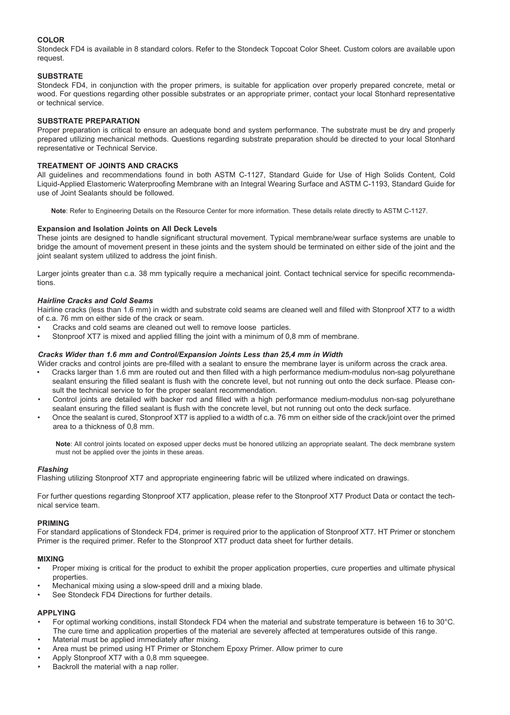## **COLOR**

Stondeck FD4 is available in 8 standard colors. Refer to the Stondeck Topcoat Color Sheet. Custom colors are available upon request.

## **SUBSTRATE**

Stondeck FD4, in conjunction with the proper primers, is suitable for application over properly prepared concrete, metal or wood. For questions regarding other possible substrates or an appropriate primer, contact your local Stonhard representative or technical service.

## **SUBSTRATE PREPARATION**

Proper preparation is critical to ensure an adequate bond and system performance. The substrate must be dry and properly prepared utilizing mechanical methods. Questions regarding substrate preparation should be directed to your local Stonhard representative or Technical Service.

## **TREATMENT OF JOINTS AND CRACKS**

All guidelines and recommendations found in both ASTM C-1127, Standard Guide for Use of High Solids Content, Cold Liquid-Applied Elastomeric Waterproofing Membrane with an Integral Wearing Surface and ASTM C-1193, Standard Guide for use of Joint Sealants should be followed.

**Note**: Refer to Engineering Details on the Resource Center for more information. These details relate directly to ASTM C-1127.

## **Expansion and Isolation Joints on All Deck Levels**

These joints are designed to handle significant structural movement. Typical membrane/wear surface systems are unable to bridge the amount of movement present in these joints and the system should be terminated on either side of the joint and the joint sealant system utilized to address the joint finish.

Larger joints greater than c.a. 38 mm typically require a mechanical joint. Contact technical service for specific recommendations.

## *Hairline Cracks and Cold Seams*

Hairline cracks (less than 1.6 mm) in width and substrate cold seams are cleaned well and filled with Stonproof XT7 to a width of c.a. 76 mm on either side of the crack or seam.

- Cracks and cold seams are cleaned out well to remove loose particles.
- Stonproof XT7 is mixed and applied filling the joint with a minimum of 0,8 mm of membrane.

## *Cracks Wider than 1.6 mm and Control/Expansion Joints Less than 25,4 mm in Width*

Wider cracks and control joints are pre-filled with a sealant to ensure the membrane layer is uniform across the crack area.

- Cracks larger than 1.6 mm are routed out and then filled with a high performance medium-modulus non-sag polyurethane sealant ensuring the filled sealant is flush with the concrete level, but not running out onto the deck surface. Please consult the technical service to for the proper sealant recommendation.
- Control joints are detailed with backer rod and filled with a high performance medium-modulus non-sag polyurethane sealant ensuring the filled sealant is flush with the concrete level, but not running out onto the deck surface.
- Once the sealant is cured, Stonproof XT7 is applied to a width of c.a. 76 mm on either side of the crack/joint over the primed area to a thickness of 0,8 mm.

**Note**: All control joints located on exposed upper decks must be honored utilizing an appropriate sealant. The deck membrane system must not be applied over the joints in these areas.

## *Flashing*

Flashing utilizing Stonproof XT7 and appropriate engineering fabric will be utilized where indicated on drawings.

For further questions regarding Stonproof XT7 application, please refer to the Stonproof XT7 Product Data or contact the technical service team.

## **PRIMING**

For standard applications of Stondeck FD4, primer is required prior to the application of Stonproof XT7. HT Primer or stonchem Primer is the required primer. Refer to the Stonproof XT7 product data sheet for further details.

## **MIXING**

- Proper mixing is critical for the product to exhibit the proper application properties, cure properties and ultimate physical properties.
- Mechanical mixing using a slow-speed drill and a mixing blade.
- See Stondeck FD4 Directions for further details.

## **APPLYING**

- For optimal working conditions, install Stondeck FD4 when the material and substrate temperature is between 16 to 30°C. The cure time and application properties of the material are severely affected at temperatures outside of this range.
- Material must be applied immediately after mixing.
- Area must be primed using HT Primer or Stonchem Epoxy Primer. Allow primer to cure
- Apply Stonproof XT7 with a 0,8 mm squeegee.
- Backroll the material with a nap roller.